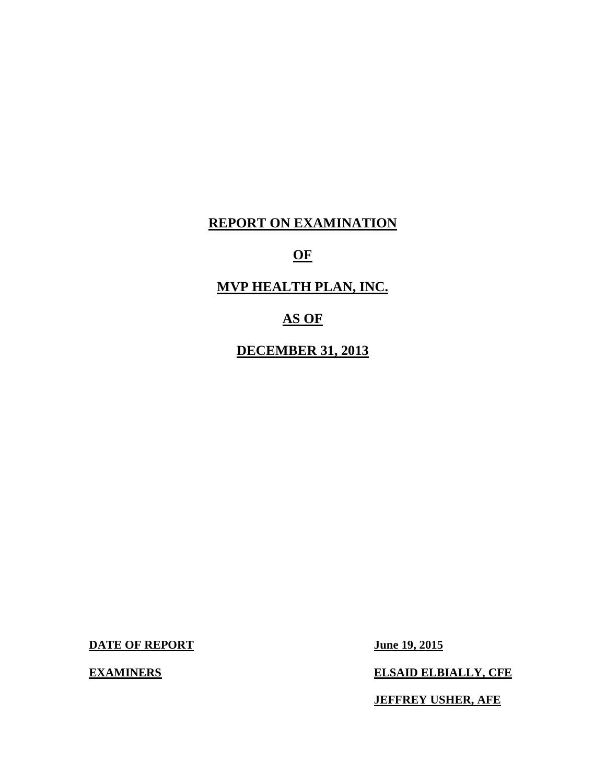## **REPORT ON EXAMINATION**

## **OF**

# **MVP HEALTH PLAN, INC.**

## **AS OF**

## **DECEMBER 31, 2013**

**DATE OF REPORT** June 19, 2015

**EXAMINERS** 

**ELSAID ELBIALLY, CFE** 

 **JEFFREY USHER, AFE**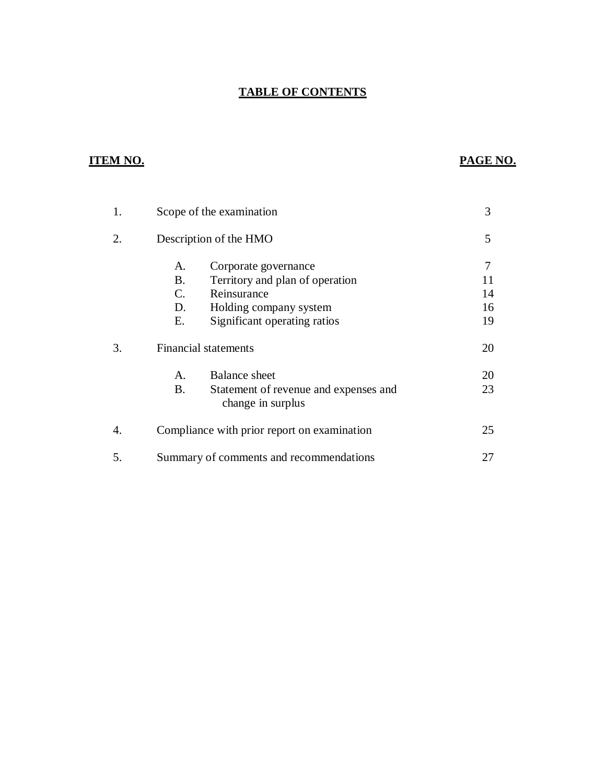## **TABLE OF CONTENTS**

## **ITEM NO.**

## **PAGE NO.**

| 1. | Scope of the examination                                                                                                                                                                 | 3              |
|----|------------------------------------------------------------------------------------------------------------------------------------------------------------------------------------------|----------------|
| 2. | Description of the HMO                                                                                                                                                                   | 5              |
|    | A.<br>Corporate governance<br><b>B.</b><br>Territory and plan of operation<br>Reinsurance<br>$\mathcal{C}_{\cdot}$<br>D.<br>Holding company system<br>Е.<br>Significant operating ratios | 14<br>16<br>19 |
| 3. | <b>Financial statements</b>                                                                                                                                                              | 20             |
|    | <b>Balance</b> sheet<br>A.<br>B.<br>Statement of revenue and expenses and<br>change in surplus                                                                                           | 20<br>23       |
| 4. | Compliance with prior report on examination                                                                                                                                              | 25             |
| 5. | Summary of comments and recommendations                                                                                                                                                  | 27             |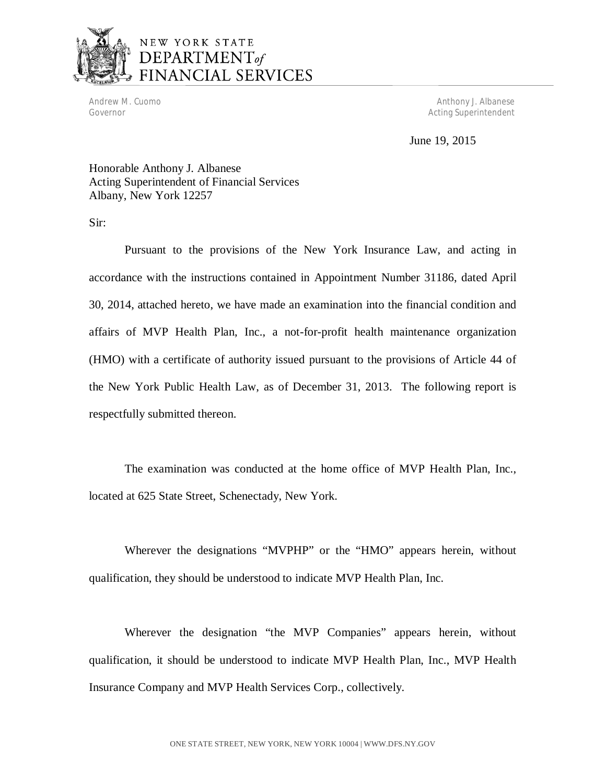

# NEW YORK STATE DEPARTMENT<sub>of</sub> **JANCIAL SERVICES**

Governor

Andrew M. Cuomo **Anthony J. Albanese** Anthony J. Albanese Acting Superintendent

June 19, 2015

 Honorable Anthony J. Albanese Acting Superintendent of Financial Services Albany, New York 12257

Sir:

 Pursuant to the provisions of the New York Insurance Law, and acting in accordance with the instructions contained in Appointment Number 31186, dated April 30, 2014, attached hereto, we have made an examination into the financial condition and affairs of MVP Health Plan, Inc., a not-for-profit health maintenance organization (HMO) with a certificate of authority issued pursuant to the provisions of Article 44 of the New York Public Health Law, as of December 31, 2013. The following report is respectfully submitted thereon.

 The examination was conducted at the home office of MVP Health Plan, Inc., located at 625 State Street, Schenectady, New York.

 Wherever the designations "MVPHP" or the "HMO" appears herein, without qualification, they should be understood to indicate MVP Health Plan, Inc.

 Wherever the designation "the MVP Companies" appears herein, without qualification, it should be understood to indicate MVP Health Plan, Inc., MVP Health Insurance Company and MVP Health Services Corp., collectively.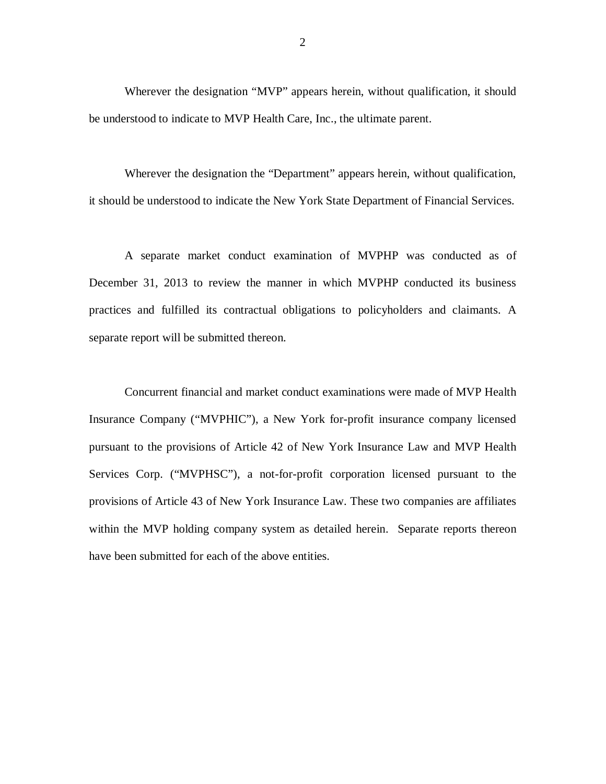Wherever the designation "MVP" appears herein, without qualification, it should be understood to indicate to MVP Health Care, Inc., the ultimate parent.

 Wherever the designation the "Department" appears herein, without qualification, it should be understood to indicate the New York State Department of Financial Services.

 A separate market conduct examination of MVPHP was conducted as of December 31, 2013 to review the manner in which MVPHP conducted its business practices and fulfilled its contractual obligations to policyholders and claimants. A separate report will be submitted thereon.

 Concurrent financial and market conduct examinations were made of MVP Health Insurance Company ("MVPHIC"), a New York for-profit insurance company licensed pursuant to the provisions of Article 42 of New York Insurance Law and MVP Health Services Corp. ("MVPHSC"), a not-for-profit corporation licensed pursuant to the provisions of Article 43 of New York Insurance Law. These two companies are affiliates within the MVP holding company system as detailed herein. Separate reports thereon have been submitted for each of the above entities.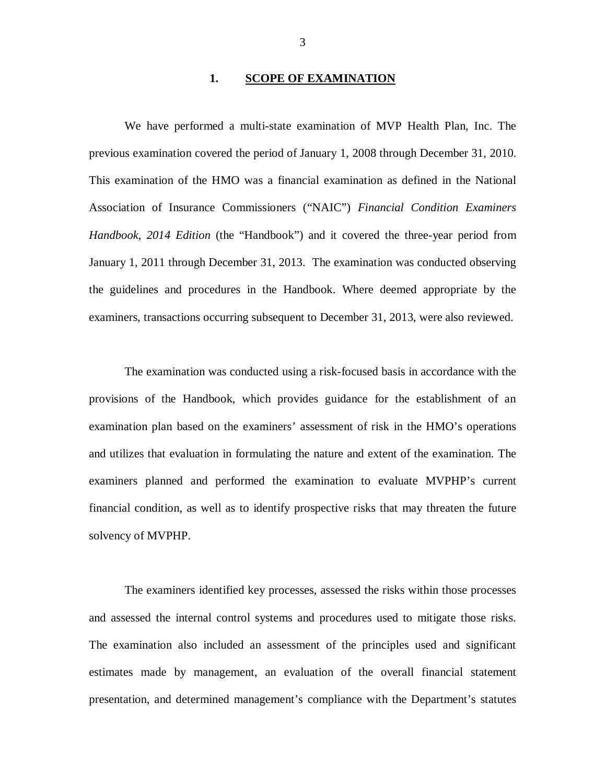## **1. SCOPE OF EXAMINATION**

<span id="page-4-0"></span> previous examination covered the period of January 1, 2008 through December 31, 2010. This examination of the HMO was a financial examination as defined in the National Association of Insurance Commissioners ("NAIC") *Financial Condition Examiners*  Handbook, 2014 Edition (the "Handbook") and it covered the three-year period from January 1, 2011 through December 31, 2013. The examination was conducted observing the guidelines and procedures in the Handbook. Where deemed appropriate by the examiners, transactions occurring subsequent to December 31, 2013, were also reviewed. We have performed a multi-state examination of MVP Health Plan, Inc. The

 provisions of the Handbook, which provides guidance for the establishment of an examination plan based on the examiners' assessment of risk in the HMO's operations and utilizes that evaluation in formulating the nature and extent of the examination. The examiners planned and performed the examination to evaluate MVPHP's current financial condition, as well as to identify prospective risks that may threaten the future solvency of MVPHP. The examination was conducted using a risk-focused basis in accordance with the

 and assessed the internal control systems and procedures used to mitigate those risks. The examination also included an assessment of the principles used and significant estimates made by management, an evaluation of the overall financial statement presentation, and determined management's compliance with the Department's statutes The examiners identified key processes, assessed the risks within those processes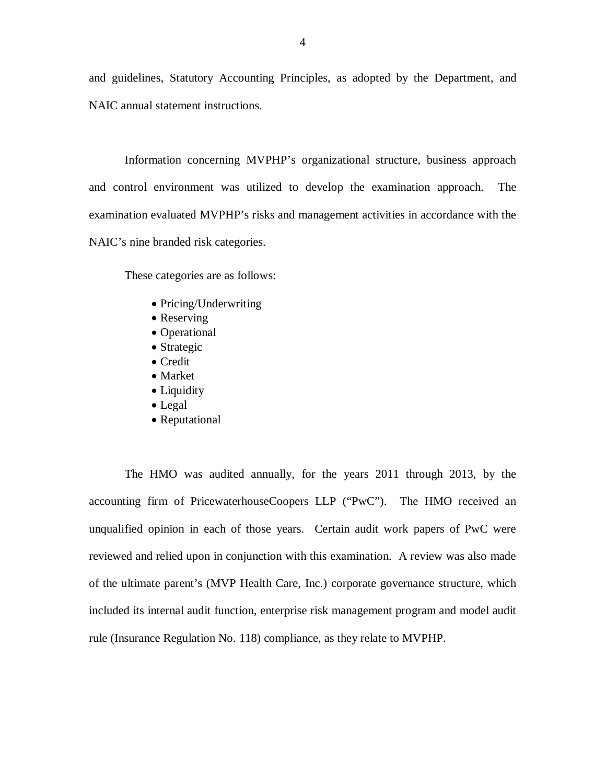and guidelines, Statutory Accounting Principles, as adopted by the Department, and NAIC annual statement instructions.

 Information concerning MVPHP's organizational structure, business approach and control environment was utilized to develop the examination approach. The examination evaluated MVPHP's risks and management activities in accordance with the NAIC's nine branded risk categories.

These categories are as follows:

- Pricing/Underwriting
- Reserving
- Operational
- Strategic
- Credit
- Market
- Liquidity
- Legal
- Reputational

 The HMO was audited annually, for the years 2011 through 2013, by the accounting firm of PricewaterhouseCoopers LLP ("PwC"). The HMO received an unqualified opinion in each of those years. Certain audit work papers of PwC were reviewed and relied upon in conjunction with this examination. A review was also made of the ultimate parent's (MVP Health Care, Inc.) corporate governance structure, which included its internal audit function, enterprise risk management program and model audit rule (Insurance Regulation No. 118) compliance, as they relate to MVPHP.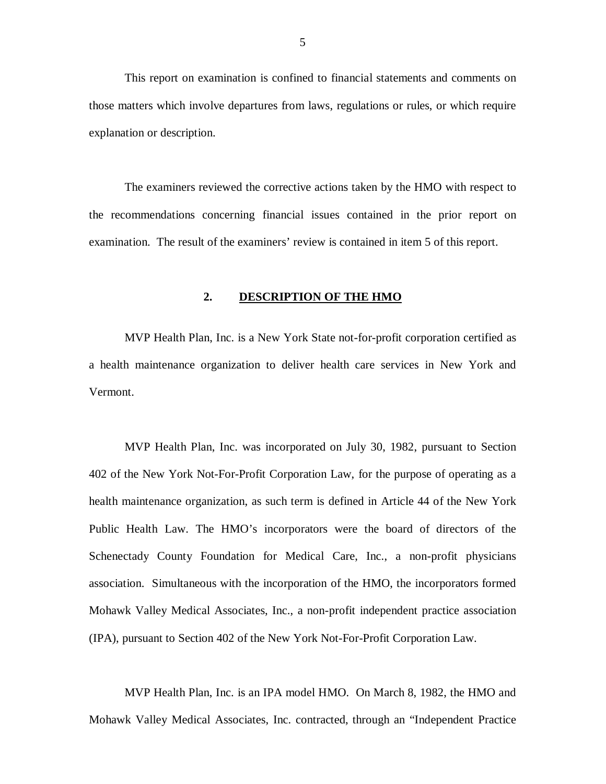<span id="page-6-0"></span> This report on examination is confined to financial statements and comments on those matters which involve departures from laws, regulations or rules, or which require explanation or description.

 The examiners reviewed the corrective actions taken by the HMO with respect to the recommendations concerning financial issues contained in the prior report on examination. The result of the examiners' review is contained in item 5 of this report.

## **2. DESCRIPTION OF THE HMO**

 MVP Health Plan, Inc. is a New York State not-for-profit corporation certified as a health maintenance organization to deliver health care services in New York and Vermont. Vermont. MVP Health Plan, Inc. was incorporated on July 30, 1982, pursuant to Section

 402 of the New York Not-For-Profit Corporation Law, for the purpose of operating as a health maintenance organization, as such term is defined in Article 44 of the New York Public Health Law. The HMO's incorporators were the board of directors of the Schenectady County Foundation for Medical Care, Inc., a non-profit physicians association. Simultaneous with the incorporation of the HMO, the incorporators formed Mohawk Valley Medical Associates, Inc., a non-profit independent practice association (IPA), pursuant to Section 402 of the New York Not-For-Profit Corporation Law.

 MVP Health Plan, Inc. is an IPA model HMO. On March 8, 1982, the HMO and Mohawk Valley Medical Associates, Inc. contracted, through an "Independent Practice

5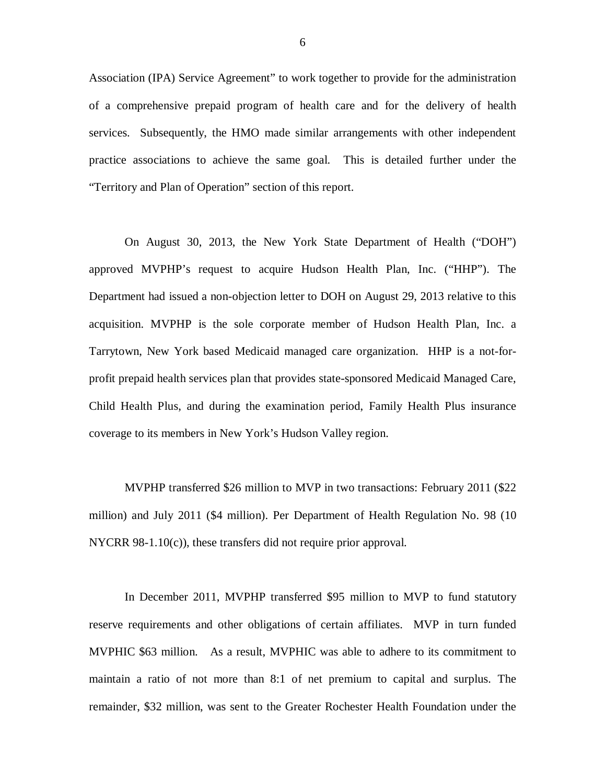Association (IPA) Service Agreement" to work together to provide for the administration of a comprehensive prepaid program of health care and for the delivery of health services. Subsequently, the HMO made similar arrangements with other independent practice associations to achieve the same goal. This is detailed further under the "Territory and Plan of Operation" section of this report.

 On August 30, 2013, the New York State Department of Health ("DOH") approved MVPHP's request to acquire Hudson Health Plan, Inc. ("HHP"). The Department had issued a non-objection letter to DOH on August 29, 2013 relative to this acquisition. MVPHP is the sole corporate member of Hudson Health Plan, Inc. a Tarrytown, New York based Medicaid managed care organization. HHP is a not-for- profit prepaid health services plan that provides state-sponsored Medicaid Managed Care, Child Health Plus, and during the examination period, Family Health Plus insurance coverage to its members in New York's Hudson Valley region.

 MVPHP transferred \$26 million to MVP in two transactions: February 2011 (\$22 million) and July 2011 (\$4 million). Per Department of Health Regulation No. 98 (10 NYCRR 98-1.10(c)), these transfers did not require prior approval.

 In December 2011, MVPHP transferred \$95 million to MVP to fund statutory reserve requirements and other obligations of certain affiliates. MVP in turn funded MVPHIC \$63 million. As a result, MVPHIC was able to adhere to its commitment to maintain a ratio of not more than 8:1 of net premium to capital and surplus. The remainder, \$32 million, was sent to the Greater Rochester Health Foundation under the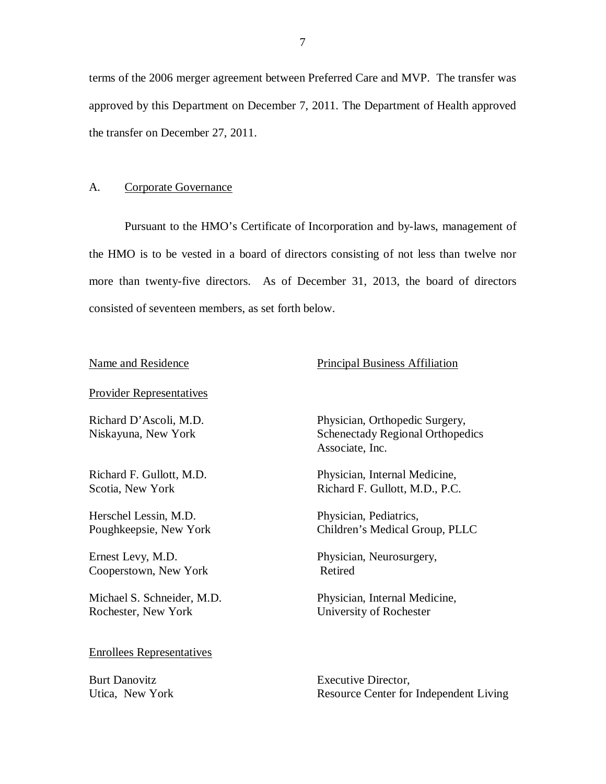terms of the 2006 merger agreement between Preferred Care and MVP. The transfer was approved by this Department on December 7, 2011. The Department of Health approved the transfer on December 27, 2011.

## A. Corporate Governance

 Pursuant to the HMO's Certificate of Incorporation and by-laws, management of the HMO is to be vested in a board of directors consisting of not less than twelve nor more than twenty-five directors. As of December 31, 2013, the board of directors consisted of seventeen members, as set forth below.

## Name and Residence **Principal Business** Affiliation

Provider Representatives

 Richard D'Ascoli, M.D. Niskayuna, New York

 Richard F. Gullott, M.D. Scotia, New York

 Herschel Lessin, M.D. Poughkeepsie, New York

 Ernest Levy, M.D. Cooperstown, New York

 Michael S. Schneider, M.D. Rochester, New York

## Enrollees Representatives

**Burt Danovitz** Utica. New York  Physician, Orthopedic Surgery, Schenectady Regional Orthopedics Associate, Inc.

 Physician, Internal Medicine, Richard F. Gullott, M.D., P.C.

 Physician, Pediatrics, Children's Medical Group, PLLC

Physician, Neurosurgery, Retired

Physician, Internal Medicine, University of Rochester

Executive Director, Resource Center for Independent Living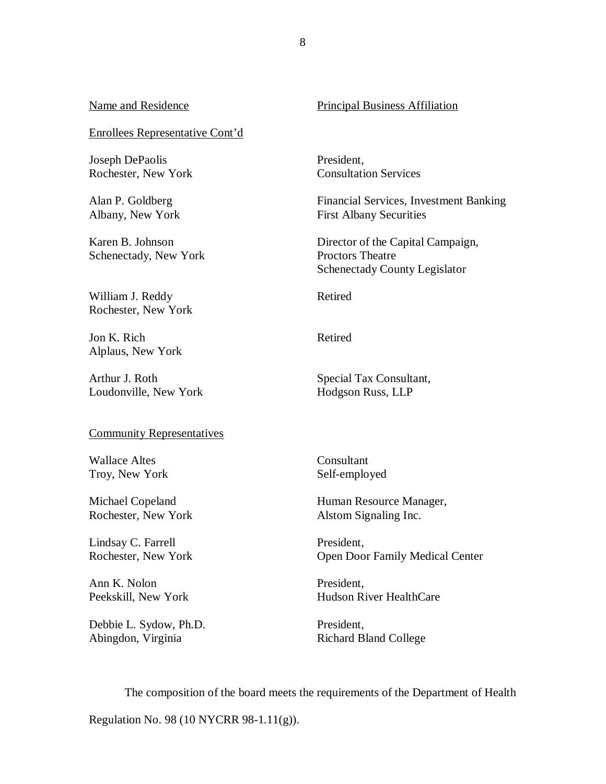## Enrollees Representative Cont'd

 Joseph DePaolis Rochester, New York

 Alan P. Goldberg Albany, New York

 Karen B. Johnson Schenectady, New York

 William J. Reddy Rochester, New York

 Jon K. Rich Alplaus, New York

 Arthur J. Roth Loudonville, New York

#### Community Representatives

 Wallace Altes Troy, New York

 Michael Copeland Rochester, New York

 Lindsay C. Farrell Rochester, New York

 Ann K. Nolon Peekskill, New York

 Debbie L. Sydow, Ph.D. Abingdon, Virginia

## Name and Residence **Principal Business** Affiliation

President, Consultation Services

Financial Services, Investment Banking First Albany Securities

 Schenectady County Legislator Director of the Capital Campaign, Proctors Theatre

Retired

Retired

Special Tax Consultant, Hodgson Russ, LLP

Consultant Self-employed

Human Resource Manager, Alstom Signaling Inc.

 Open Door Family Medical Center President,

President, Hudson River HealthCare

President, Richard Bland College

 Regulation No. 98 (10 NYCRR 98-1.11(g)). The composition of the board meets the requirements of the Department of Health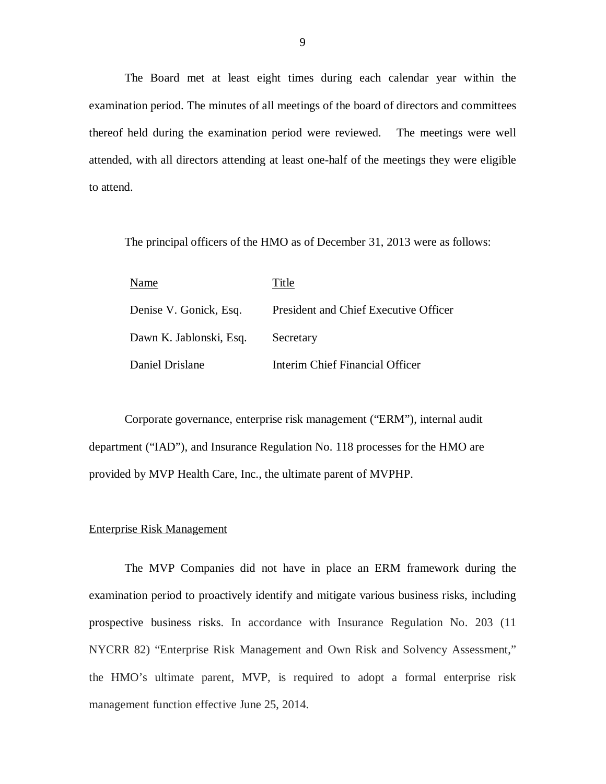The Board met at least eight times during each calendar year within the examination period. The minutes of all meetings of the board of directors and committees thereof held during the examination period were reviewed. The meetings were well attended, with all directors attending at least one-half of the meetings they were eligible to attend.

The principal officers of the HMO as of December 31, 2013 were as follows:

| Name                    | Title                                 |
|-------------------------|---------------------------------------|
| Denise V. Gonick, Esq.  | President and Chief Executive Officer |
| Dawn K. Jablonski, Esq. | Secretary                             |
| Daniel Drislane         | Interim Chief Financial Officer       |

 Corporate governance, enterprise risk management ("ERM"), internal audit department ("IAD"), and Insurance Regulation No. 118 processes for the HMO are provided by MVP Health Care, Inc., the ultimate parent of MVPHP.

## **Enterprise Risk Management**

 examination period to proactively identify and mitigate various business risks, including prospective business risks. In accordance with Insurance Regulation No. 203 (11 NYCRR 82) "Enterprise Risk Management and Own Risk and Solvency Assessment," the HMO's ultimate parent, MVP, is required to adopt a formal enterprise risk management function effective June 25, 2014. The MVP Companies did not have in place an ERM framework during the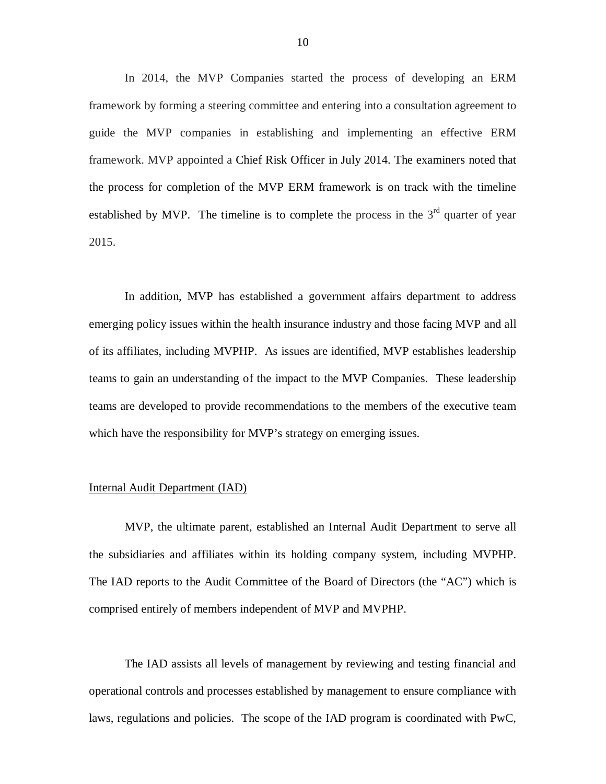framework by forming a steering committee and entering into a consultation agreement to guide the MVP companies in establishing and implementing an effective ERM framework. MVP appointed a Chief Risk Officer in July 2014. The examiners noted that the process for completion of the MVP ERM framework is on track with the timeline established by MVP. The timeline is to complete the process in the  $3<sup>rd</sup>$  quarter of year 2015. In 2014, the MVP Companies started the process of developing an ERM

 emerging policy issues within the health insurance industry and those facing MVP and all of its affiliates, including MVPHP. As issues are identified, MVP establishes leadership teams to gain an understanding of the impact to the MVP Companies. These leadership teams are developed to provide recommendations to the members of the executive team which have the responsibility for MVP's strategy on emerging issues. In addition, MVP has established a government affairs department to address

## Internal Audit Department (IAD)

 MVP, the ultimate parent, established an Internal Audit Department to serve all the subsidiaries and affiliates within its holding company system, including MVPHP. The IAD reports to the Audit Committee of the Board of Directors (the "AC") which is comprised entirely of members independent of MVP and MVPHP.

 The IAD assists all levels of management by reviewing and testing financial and operational controls and processes established by management to ensure compliance with laws, regulations and policies. The scope of the IAD program is coordinated with PwC,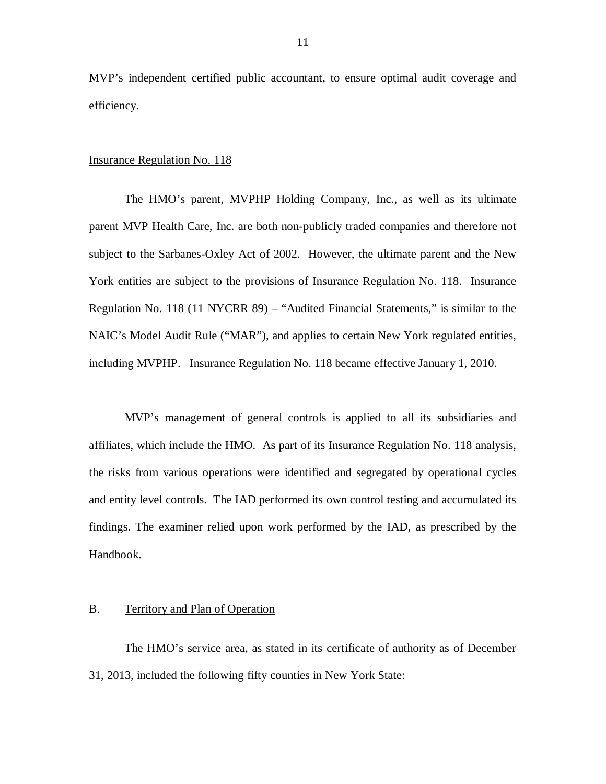<span id="page-12-0"></span> MVP's independent certified public accountant, to ensure optimal audit coverage and efficiency.

## **Insurance Regulation No. 118**

 The HMO's parent, MVPHP Holding Company, Inc., as well as its ultimate parent MVP Health Care, Inc. are both non-publicly traded companies and therefore not subject to the Sarbanes-Oxley Act of 2002. However, the ultimate parent and the New York entities are subject to the provisions of Insurance Regulation No. 118. Insurance Regulation No. 118 (11 NYCRR 89) – "Audited Financial Statements," is similar to the NAIC's Model Audit Rule ("MAR"), and applies to certain New York regulated entities, including MVPHP. Insurance Regulation No. 118 became effective January 1, 2010.

 MVP's management of general controls is applied to all its subsidiaries and affiliates, which include the HMO. As part of its Insurance Regulation No. 118 analysis, the risks from various operations were identified and segregated by operational cycles and entity level controls. The IAD performed its own control testing and accumulated its findings. The examiner relied upon work performed by the IAD, as prescribed by the Handbook.

## B. Territory and Plan of Operation

 The HMO's service area, as stated in its certificate of authority as of December 31, 2013, included the following fifty counties in New York State: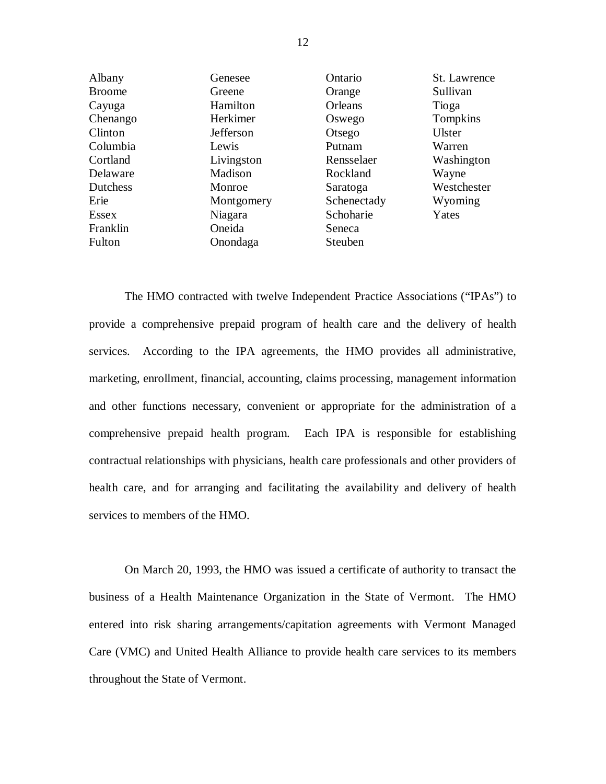| Albany        | Genesee          | Ontario     | St. Lawrence  |
|---------------|------------------|-------------|---------------|
| <b>Broome</b> | Greene           | Orange      | Sullivan      |
| Cayuga        | Hamilton         | Orleans     | Tioga         |
| Chenango      | Herkimer         | Oswego      | Tompkins      |
| Clinton       | <b>Jefferson</b> | Otsego      | <b>Ulster</b> |
| Columbia      | Lewis            | Putnam      | Warren        |
| Cortland      | Livingston       | Rensselaer  | Washington    |
| Delaware      | Madison          | Rockland    | Wayne         |
| Dutchess      | Monroe           | Saratoga    | Westchester   |
| Erie          | Montgomery       | Schenectady | Wyoming       |
| <b>Essex</b>  | Niagara          | Schoharie   | Yates         |
| Franklin      | Oneida           | Seneca      |               |
| Fulton        | Onondaga         | Steuben     |               |

 The HMO contracted with twelve Independent Practice Associations ("IPAs") to provide a comprehensive prepaid program of health care and the delivery of health services. According to the IPA agreements, the HMO provides all administrative, marketing, enrollment, financial, accounting, claims processing, management information and other functions necessary, convenient or appropriate for the administration of a comprehensive prepaid health program. Each IPA is responsible for establishing contractual relationships with physicians, health care professionals and other providers of health care, and for arranging and facilitating the availability and delivery of health services to members of the HMO.

 On March 20, 1993, the HMO was issued a certificate of authority to transact the business of a Health Maintenance Organization in the State of Vermont. The HMO entered into risk sharing arrangements/capitation agreements with Vermont Managed Care (VMC) and United Health Alliance to provide health care services to its members throughout the State of Vermont.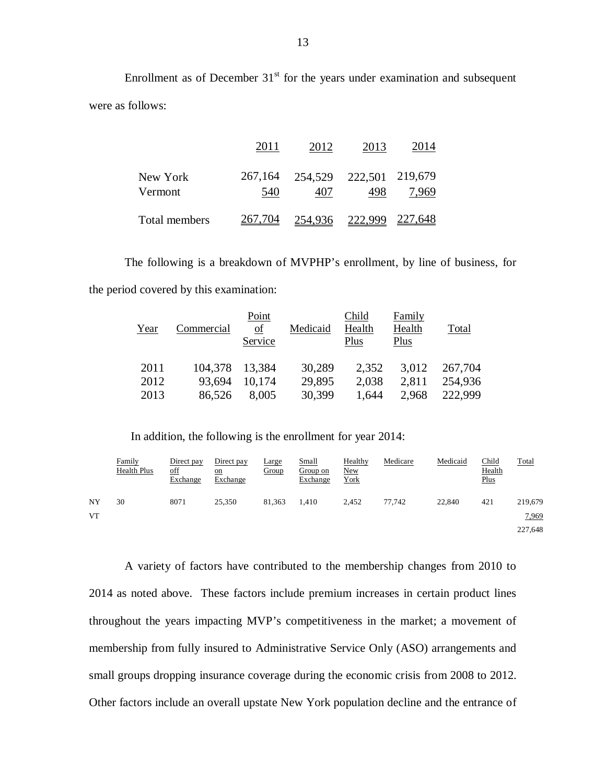Enrollment as of December  $31<sup>st</sup>$  for the years under examination and subsequent were as follows:

|                     | 2011    | 2012                                   | 2013    | 2014    |
|---------------------|---------|----------------------------------------|---------|---------|
| New York<br>Vermont | 540     | 267,164 254,529 222,501 219,679<br>407 | 498     | 7,969   |
| Total members       | 267,704 | 254,936                                | 222,999 | 227,648 |

 The following is a breakdown of MVPHP's enrollment, by line of business, for the period covered by this examination:

| Year | Commercial | Point<br>of<br>Service | Medicaid | Child<br>Health<br>Plus | Family<br>Health<br>Plus | Total   |
|------|------------|------------------------|----------|-------------------------|--------------------------|---------|
| 2011 | 104,378    | 13,384                 | 30,289   | 2,352                   | 3,012                    | 267,704 |
| 2012 | 93,694     | 10,174                 | 29,895   | 2,038                   | 2,811                    | 254,936 |
| 2013 | 86,526     | 8,005                  | 30,399   | 1,644                   | 2,968                    | 222,999 |

In addition, the following is the enrollment for year 2014:

|    | Family<br>Health Plus | Direct pay<br><u>off</u><br>Exchange | Direct pay<br>$_{\text{on}}$<br>Exchange | <b>Large</b><br>Group | <u>Small</u><br>Group on<br>Exchange | Healthy<br><b>New</b><br>York | Medicare | Medicaid | <u>Child</u><br><b>Health</b><br>Plus | Total   |
|----|-----------------------|--------------------------------------|------------------------------------------|-----------------------|--------------------------------------|-------------------------------|----------|----------|---------------------------------------|---------|
| NY | 30                    | 8071                                 | 25,350                                   | 81.363                | 1.410                                | 2.452                         | 77.742   | 22,840   | 421                                   | 219,679 |
| VT |                       |                                      |                                          |                       |                                      |                               |          |          |                                       | 7,969   |
|    |                       |                                      |                                          |                       |                                      |                               |          |          |                                       | 227,648 |

 A variety of factors have contributed to the membership changes from 2010 to 2014 as noted above. These factors include premium increases in certain product lines throughout the years impacting MVP's competitiveness in the market; a movement of membership from fully insured to Administrative Service Only (ASO) arrangements and small groups dropping insurance coverage during the economic crisis from 2008 to 2012. Other factors include an overall upstate New York population decline and the entrance of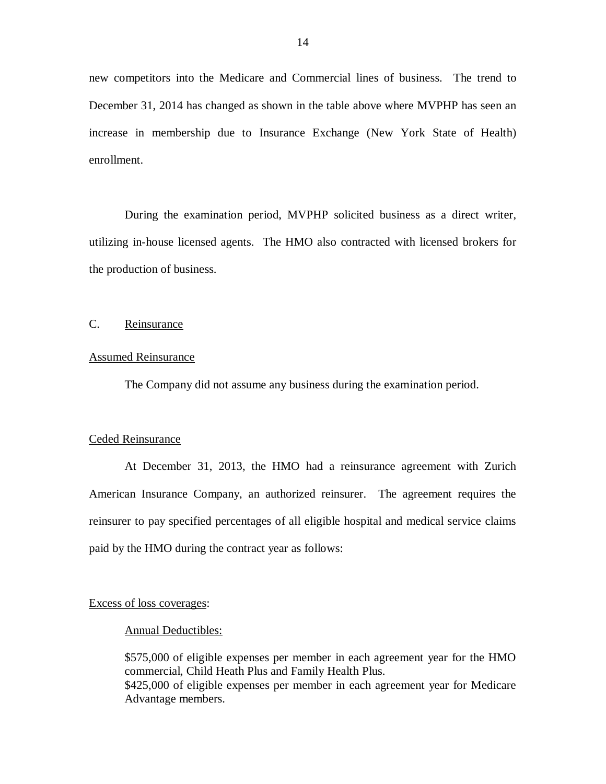<span id="page-15-0"></span> new competitors into the Medicare and Commercial lines of business. The trend to December 31, 2014 has changed as shown in the table above where MVPHP has seen an increase in membership due to Insurance Exchange (New York State of Health) enrollment.

 During the examination period, MVPHP solicited business as a direct writer, utilizing in-house licensed agents. The HMO also contracted with licensed brokers for the production of business.

#### $C_{\cdot}$ Reinsurance

## Assumed Reinsurance

The Company did not assume any business during the examination period.

## Ceded Reinsurance

 At December 31, 2013, the HMO had a reinsurance agreement with Zurich American Insurance Company, an authorized reinsurer. The agreement requires the reinsurer to pay specified percentages of all eligible hospital and medical service claims paid by the HMO during the contract year as follows:

## Excess of loss coverages:

#### Annual Deductibles:

 \$575,000 of eligible expenses per member in each agreement year for the HMO commercial, Child Heath Plus and Family Health Plus. \$425,000 of eligible expenses per member in each agreement year for Medicare Advantage members.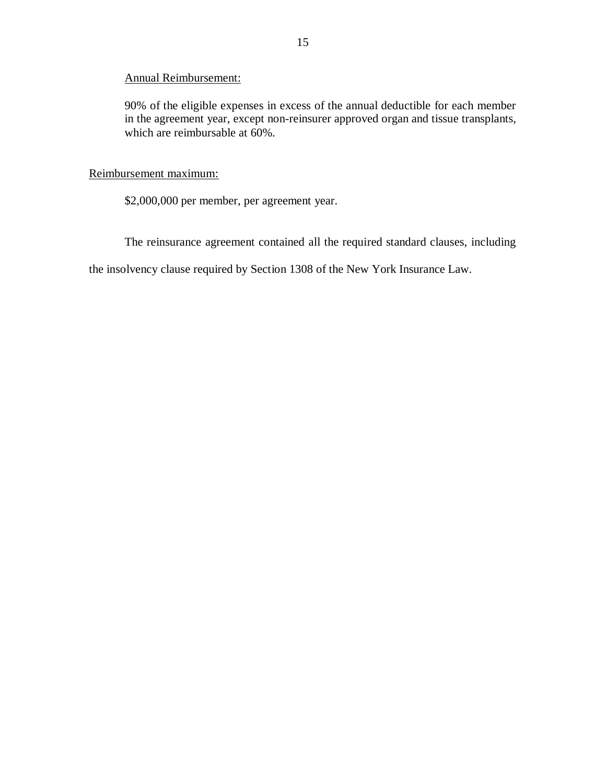## Annual Reimbursement:

 90% of the eligible expenses in excess of the annual deductible for each member in the agreement year, except non-reinsurer approved organ and tissue transplants, which are reimbursable at 60%.

## Reimbursement maximum:

\$2,000,000 per member, per agreement year.

The reinsurance agreement contained all the required standard clauses, including

the insolvency clause required by Section 1308 of the New York Insurance Law.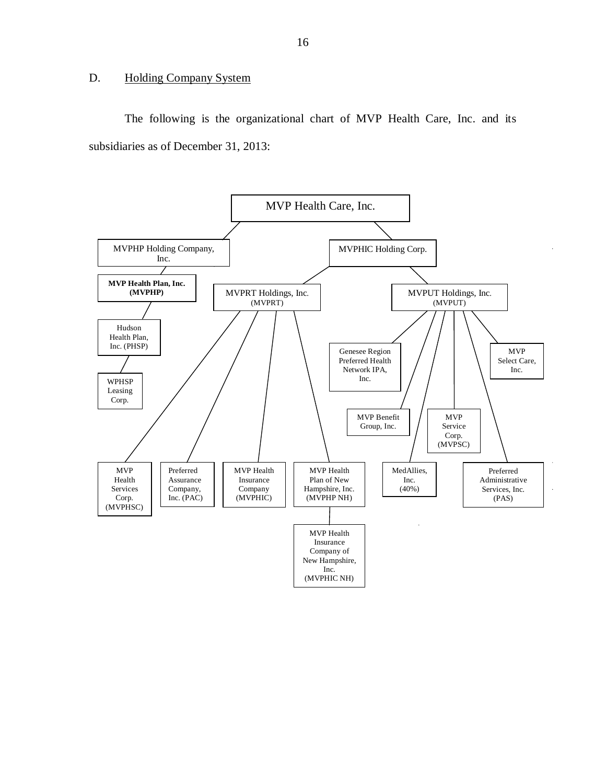## <span id="page-17-0"></span>D. Holding Company System

The following is the organizational chart of MVP Health Care, Inc. and its subsidiaries as of December 31, 2013:

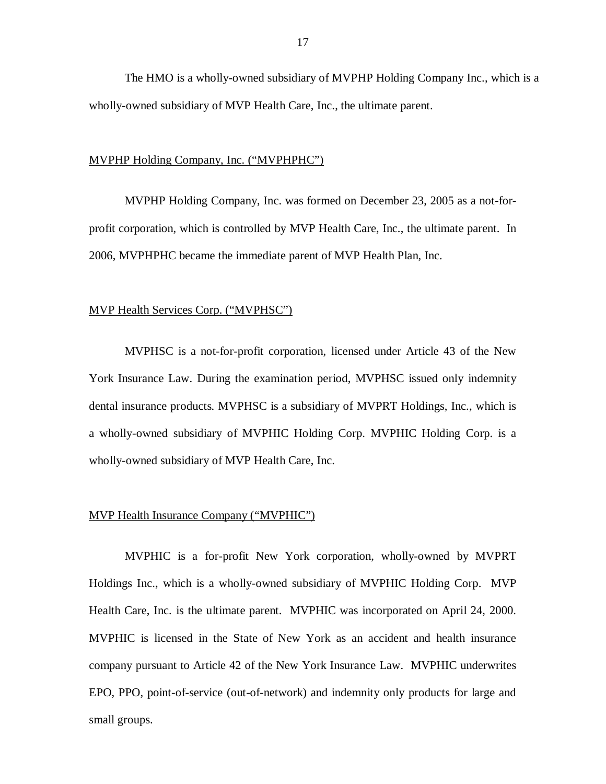The HMO is a wholly-owned subsidiary of MVPHP Holding Company Inc., which is a wholly-owned subsidiary of MVP Health Care, Inc., the ultimate parent.

## MVPHP Holding Company, Inc. ("MVPHPHC")

 MVPHP Holding Company, Inc. was formed on December 23, 2005 as a not-for- profit corporation, which is controlled by MVP Health Care, Inc., the ultimate parent. In 2006, MVPHPHC became the immediate parent of MVP Health Plan, Inc.

## MVP Health Services Corp. ("MVPHSC")

 MVPHSC is a not-for-profit corporation, licensed under Article 43 of the New York Insurance Law. During the examination period, MVPHSC issued only indemnity dental insurance products. MVPHSC is a subsidiary of MVPRT Holdings, Inc., which is a wholly-owned subsidiary of MVPHIC Holding Corp. MVPHIC Holding Corp. is a wholly-owned subsidiary of MVP Health Care, Inc.

## MVP Health Insurance Company ("MVPHIC")

 MVPHIC is a for-profit New York corporation, wholly-owned by MVPRT Holdings Inc., which is a wholly-owned subsidiary of MVPHIC Holding Corp. MVP Health Care, Inc. is the ultimate parent. MVPHIC was incorporated on April 24, 2000. MVPHIC is licensed in the State of New York as an accident and health insurance company pursuant to Article 42 of the New York Insurance Law. MVPHIC underwrites EPO, PPO, point-of-service (out-of-network) and indemnity only products for large and small groups.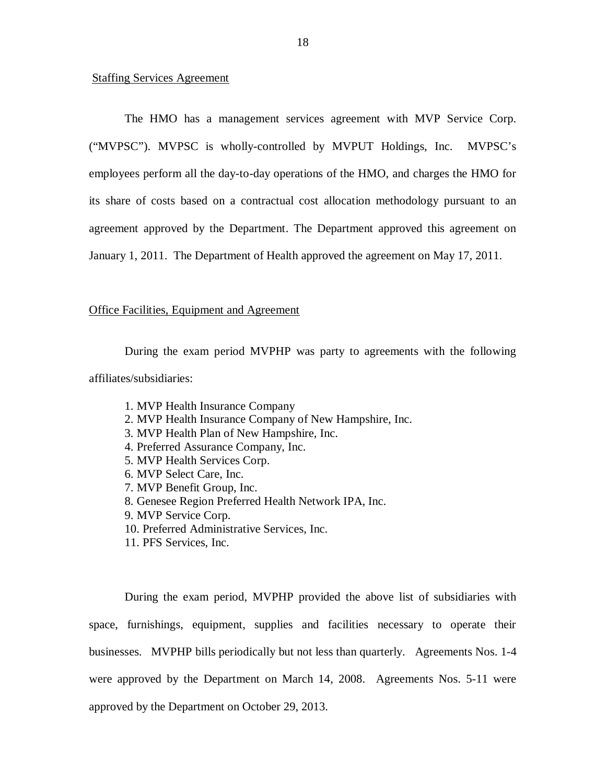## **Staffing Services Agreement**

 The HMO has a management services agreement with MVP Service Corp. ("MVPSC"). MVPSC is wholly-controlled by MVPUT Holdings, Inc. MVPSC's employees perform all the day-to-day operations of the HMO, and charges the HMO for its share of costs based on a contractual cost allocation methodology pursuant to an agreement approved by the Department. The Department approved this agreement on January 1, 2011. The Department of Health approved the agreement on May 17, 2011.

## **Office Facilities, Equipment and Agreement**

 During the exam period MVPHP was party to agreements with the following affiliates/subsidiaries:

- 1. MVP Health Insurance Company
- 2. MVP Health Insurance Company of New Hampshire, Inc.
- 3. MVP Health Plan of New Hampshire, Inc.
- 4. Preferred Assurance Company, Inc.
- 5. MVP Health Services Corp.
- 6. MVP Select Care, Inc.
- 7. MVP Benefit Group, Inc.
- 8. Genesee Region Preferred Health Network IPA, Inc.
- 9. MVP Service Corp.
- 10. Preferred Administrative Services, Inc.
- 11. PFS Services, Inc.

 During the exam period, MVPHP provided the above list of subsidiaries with space, furnishings, equipment, supplies and facilities necessary to operate their businesses. MVPHP bills periodically but not less than quarterly. Agreements Nos. 1-4 were approved by the Department on March 14, 2008. Agreements Nos. 5-11 were approved by the Department on October 29, 2013.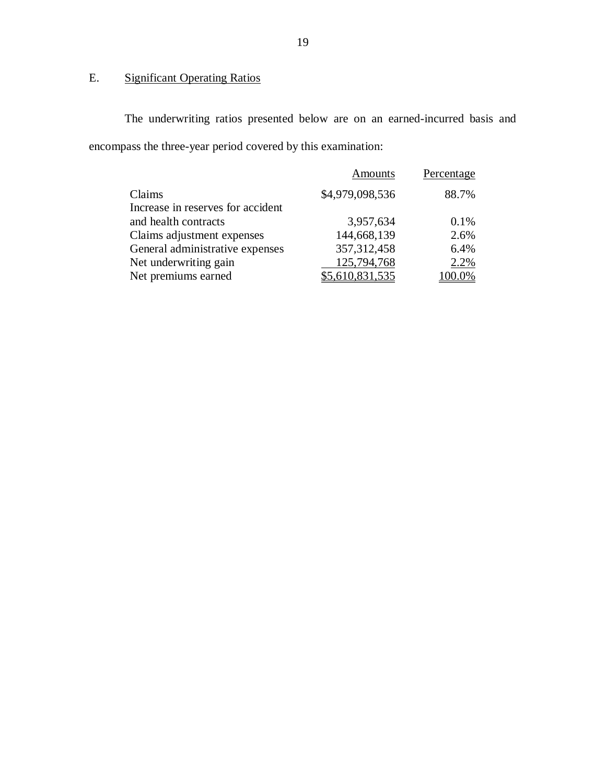#### $E.$ **Significant Operating Ratios**

 The underwriting ratios presented below are on an earned-incurred basis and encompass the three-year period covered by this examination:

| <b>Amounts</b>  | Percentage |
|-----------------|------------|
| \$4,979,098,536 | 88.7%      |
|                 |            |
| 3,957,634       | 0.1%       |
| 144,668,139     | 2.6%       |
| 357, 312, 458   | 6.4%       |
| 125,794,768     | 2.2%       |
| \$5,610,831,535 | 00.0%      |
|                 |            |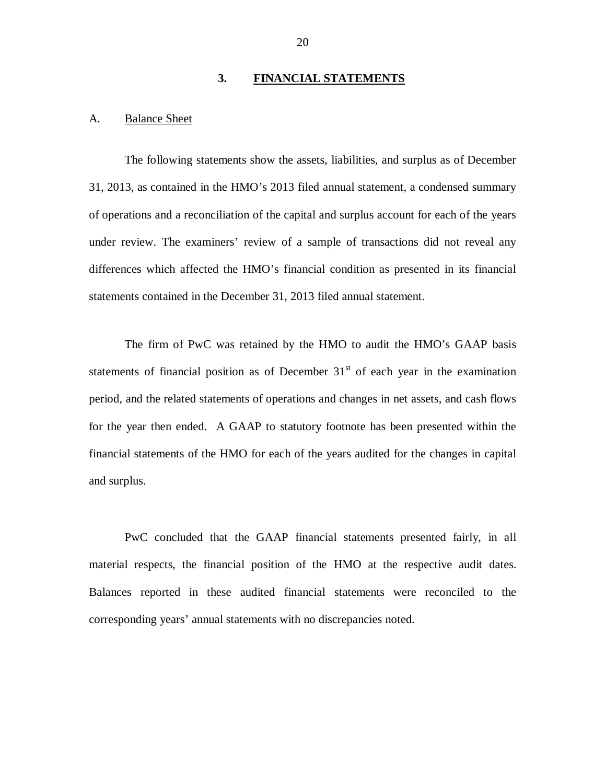## **3. FINANCIAL STATEMENTS**

#### <span id="page-21-0"></span>A. **Balance Sheet**

 The following statements show the assets, liabilities, and surplus as of December 31, 2013, as contained in the HMO's 2013 filed annual statement, a condensed summary of operations and a reconciliation of the capital and surplus account for each of the years under review. The examiners' review of a sample of transactions did not reveal any differences which affected the HMO's financial condition as presented in its financial statements contained in the December 31, 2013 filed annual statement.

 The firm of PwC was retained by the HMO to audit the HMO's GAAP basis statements of financial position as of December  $31<sup>st</sup>$  of each year in the examination period, and the related statements of operations and changes in net assets, and cash flows for the year then ended. A GAAP to statutory footnote has been presented within the financial statements of the HMO for each of the years audited for the changes in capital and surplus.

 PwC concluded that the GAAP financial statements presented fairly, in all material respects, the financial position of the HMO at the respective audit dates. Balances reported in these audited financial statements were reconciled to the corresponding years' annual statements with no discrepancies noted.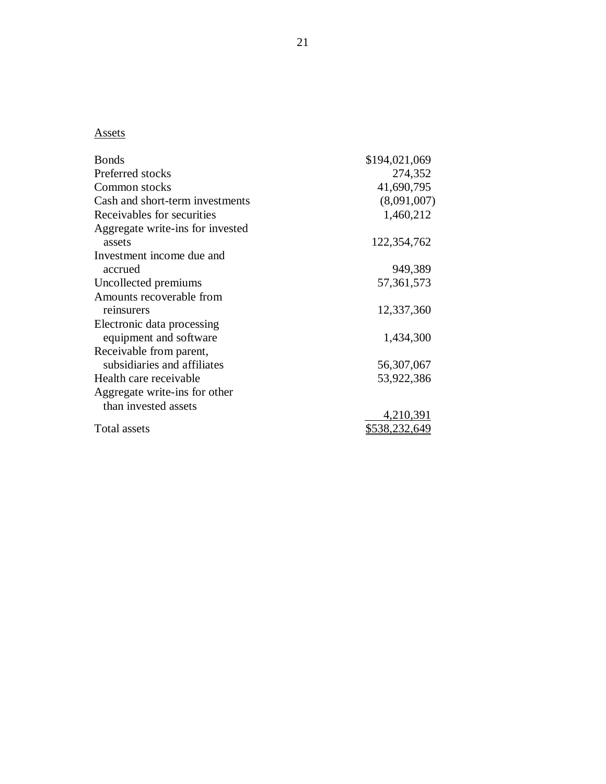# Assets

| <b>Bonds</b>                     | \$194,021,069 |
|----------------------------------|---------------|
| Preferred stocks                 | 274,352       |
| Common stocks                    | 41,690,795    |
| Cash and short-term investments  | (8,091,007)   |
| Receivables for securities       | 1,460,212     |
| Aggregate write-ins for invested |               |
| assets                           | 122,354,762   |
| Investment income due and        |               |
| accrued                          | 949,389       |
| Uncollected premiums             | 57, 361, 573  |
| Amounts recoverable from         |               |
| reinsurers                       | 12,337,360    |
| Electronic data processing       |               |
| equipment and software           | 1,434,300     |
| Receivable from parent,          |               |
| subsidiaries and affiliates      | 56, 307, 067  |
| Health care receivable           | 53,922,386    |
| Aggregate write-ins for other    |               |
| than invested assets             |               |
|                                  | 4,210,391     |
| Total assets                     | \$538,232,649 |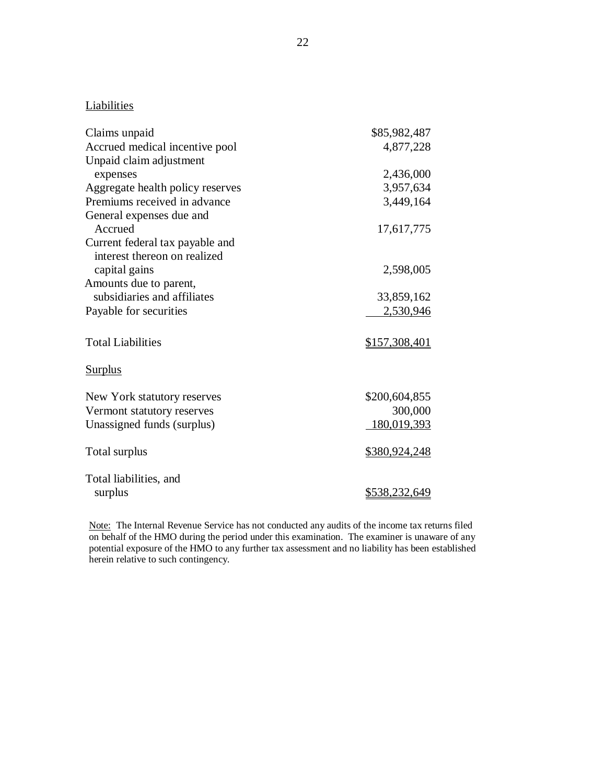## **Liabilities**

| Claims unpaid                    | \$85,982,487         |
|----------------------------------|----------------------|
| Accrued medical incentive pool   | 4,877,228            |
| Unpaid claim adjustment          |                      |
| expenses                         | 2,436,000            |
| Aggregate health policy reserves | 3,957,634            |
| Premiums received in advance     | 3,449,164            |
| General expenses due and         |                      |
| Accrued                          | 17,617,775           |
| Current federal tax payable and  |                      |
| interest thereon on realized     |                      |
| capital gains                    | 2,598,005            |
| Amounts due to parent,           |                      |
| subsidiaries and affiliates      | 33,859,162           |
| Payable for securities           | 2,530,946            |
| <b>Total Liabilities</b>         | \$157,308,401        |
| <b>Surplus</b>                   |                      |
| New York statutory reserves      | \$200,604,855        |
| Vermont statutory reserves       | 300,000              |
| Unassigned funds (surplus)       | 180,019,393          |
| Total surplus                    | <u>\$380,924,248</u> |
| Total liabilities, and           |                      |
| surplus                          | \$538,232,649        |

Note: The Internal Revenue Service has not conducted any audits of the income tax returns filed on behalf of the HMO during the period under this examination. The examiner is unaware of any potential exposure of the HMO to any further tax assessment and no liability has been established herein relative to such contingency.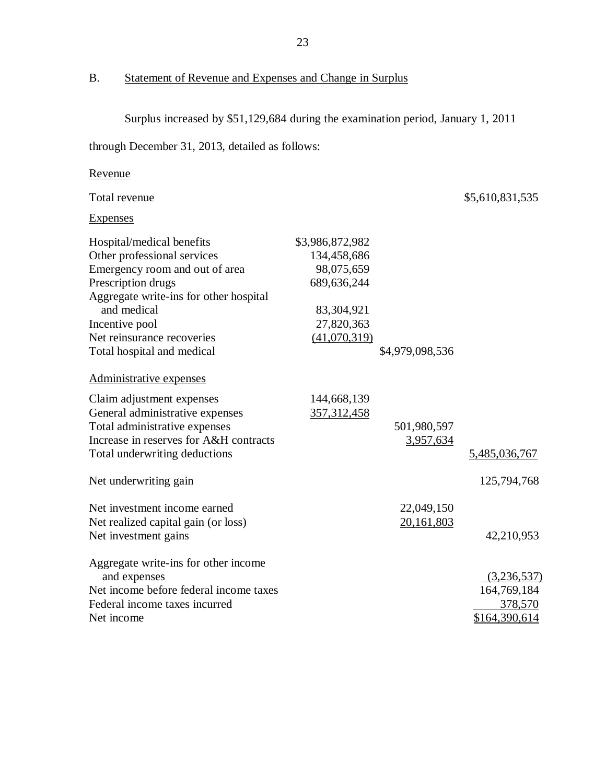B. Statement of Revenue and Expenses and Change in Surplus

Surplus increased by \$51,129,684 during the examination period, January 1, 2011

through December 31, 2013, detailed as follows:

| Revenue |
|---------|
|---------|

Total revenue

\$5,610,831,535

Expenses

| Hospital/medical benefits              | \$3,986,872,982 |                 |               |
|----------------------------------------|-----------------|-----------------|---------------|
| Other professional services            | 134,458,686     |                 |               |
| Emergency room and out of area         | 98,075,659      |                 |               |
| Prescription drugs                     | 689, 636, 244   |                 |               |
| Aggregate write-ins for other hospital |                 |                 |               |
| and medical                            | 83,304,921      |                 |               |
| Incentive pool                         | 27,820,363      |                 |               |
| Net reinsurance recoveries             | (41,070,319)    |                 |               |
| Total hospital and medical             |                 | \$4,979,098,536 |               |
| Administrative expenses                |                 |                 |               |
| Claim adjustment expenses              | 144,668,139     |                 |               |
| General administrative expenses        | 357,312,458     |                 |               |
| Total administrative expenses          |                 | 501,980,597     |               |
| Increase in reserves for A&H contracts |                 | 3,957,634       |               |
| Total underwriting deductions          |                 |                 | 5,485,036,767 |
| Net underwriting gain                  |                 |                 | 125,794,768   |
| Net investment income earned           |                 | 22,049,150      |               |
| Net realized capital gain (or loss)    |                 | 20,161,803      |               |
| Net investment gains                   |                 |                 | 42,210,953    |
| Aggregate write-ins for other income   |                 |                 |               |
| and expenses                           |                 |                 | (3,236,537)   |
| Net income before federal income taxes |                 |                 | 164,769,184   |
| Federal income taxes incurred          |                 |                 | 378,570       |
| Net income                             |                 |                 | \$164,390,614 |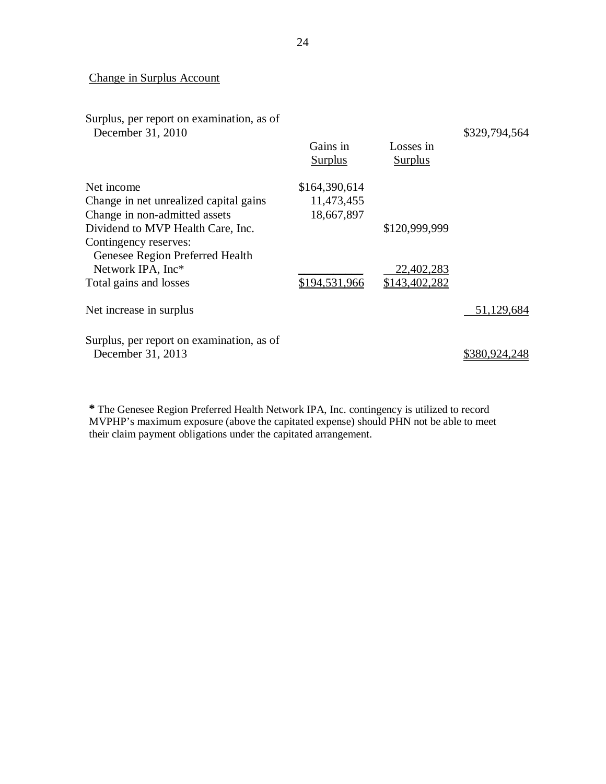## Change in Surplus Account

| Surplus, per report on examination, as of<br>December 31, 2010 | Gains in<br><b>Surplus</b> | Losses in<br><b>Surplus</b> | \$329,794,564 |
|----------------------------------------------------------------|----------------------------|-----------------------------|---------------|
| Net income                                                     | \$164,390,614              |                             |               |
| Change in net unrealized capital gains                         | 11,473,455                 |                             |               |
| Change in non-admitted assets                                  | 18,667,897                 |                             |               |
| Dividend to MVP Health Care, Inc.                              |                            | \$120,999,999               |               |
| Contingency reserves:                                          |                            |                             |               |
| Genesee Region Preferred Health                                |                            |                             |               |
| Network IPA, Inc*                                              |                            | 22,402,283                  |               |
| Total gains and losses                                         | \$194,531,966              | \$143,402,282               |               |
| Net increase in surplus                                        |                            |                             | 51,129,684    |
| Surplus, per report on examination, as of<br>December 31, 2013 |                            |                             | \$380,924,248 |

 **\*** The Genesee Region Preferred Health Network IPA, Inc. contingency is utilized to record MVPHP's maximum exposure (above the capitated expense) should PHN not be able to meet their claim payment obligations under the capitated arrangement.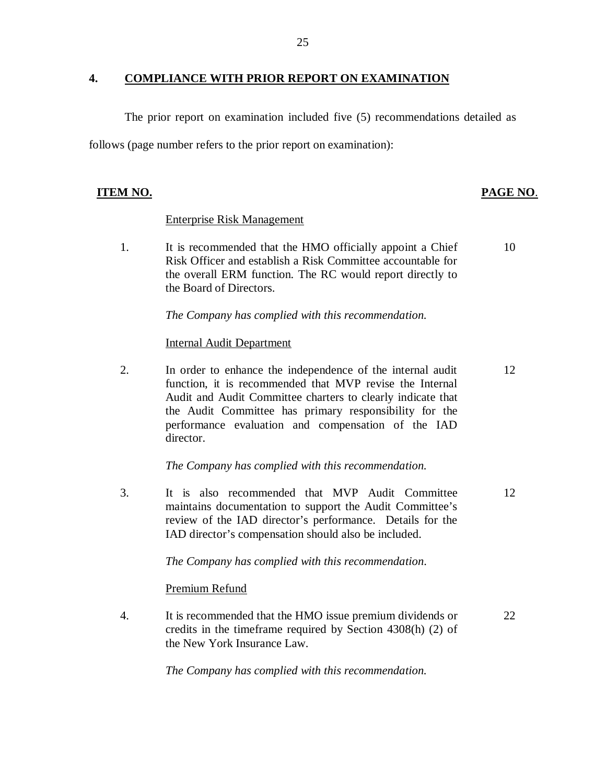## **4. COMPLIANCE WITH PRIOR REPORT ON EXAMINATION**

 The prior report on examination included five (5) recommendations detailed as follows (page number refers to the prior report on examination):

## **ITEM NO. PAGE NO.**

## Enterprise Risk Management

 $1<sub>1</sub>$  Risk Officer and establish a Risk Committee accountable for the overall ERM function. The RC would report directly to the Board of Directors. It is recommended that the HMO officially appoint a Chief 10

 *The Company has complied with this recommendation.* 

## Internal Audit Department

2. function, it is recommended that MVP revise the Internal Audit and Audit Committee charters to clearly indicate that the Audit Committee has primary responsibility for the performance evaluation and compensation of the IAD In order to enhance the independence of the internal audit director. 12

 *The Company has complied with this recommendation.* 

 $\overline{3}$ . maintains documentation to support the Audit Committee's review of the IAD director's performance. Details for the IAD director's compensation should also be included. It is also recommended that MVP Audit Committee 12

 *The Company has complied with this recommendation.* 

Premium Refund

 $\overline{4}$ . credits in the timeframe required by Section 4308(h) (2) of the New York Insurance Law. It is recommended that the HMO issue premium dividends or 22

 *The Company has complied with this recommendation.*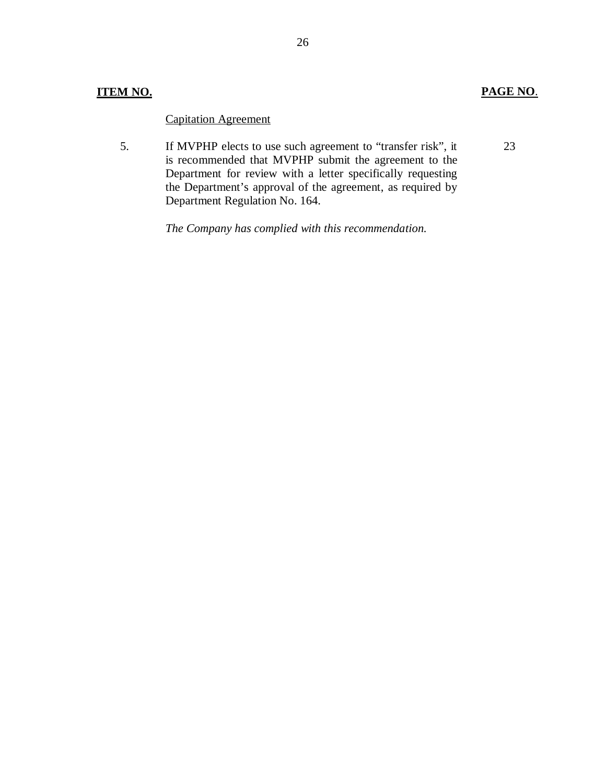## **Capitation Agreement**

5. is recommended that MVPHP submit the agreement to the Department for review with a letter specifically requesting the Department's approval of the agreement, as required by Department Regulation No. 164. 5. Capitation Agreement If MVPHP elects to use such agreement to "transfer risk", it

 *The Company has complied with this recommendation.* 

23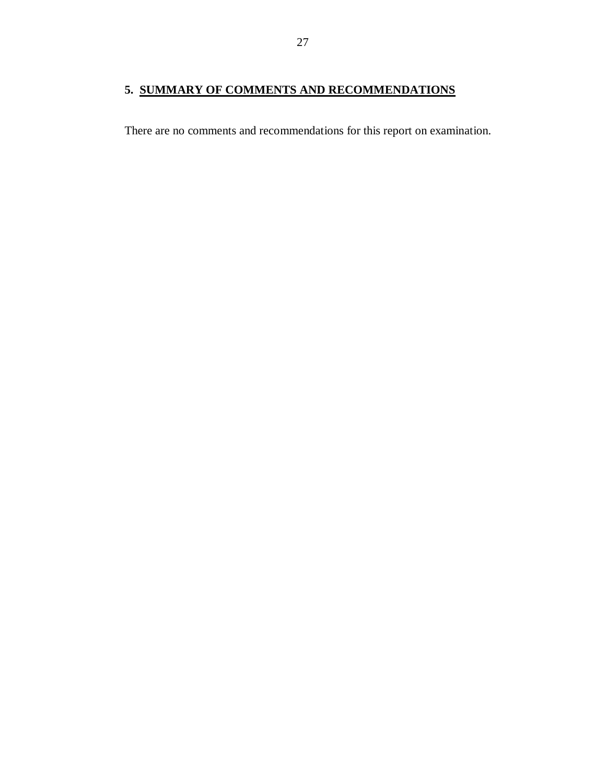## <span id="page-28-0"></span> **5. SUMMARY OF COMMENTS AND RECOMMENDATIONS**

There are no comments and recommendations for this report on examination.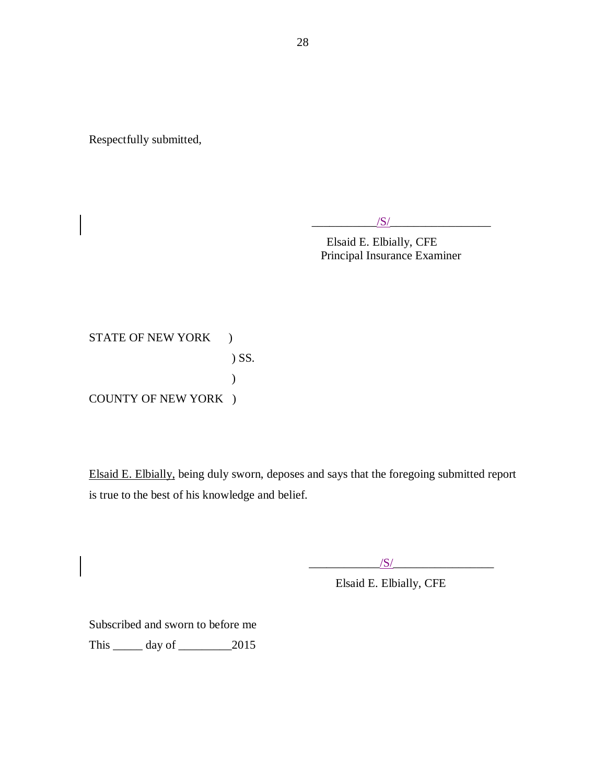Respectfully submitted,

 $\frac{1}{\sqrt{S}}$ 

Elsaid E. Elbially, CFE Principal Insurance Examiner

STATE OF NEW YORK ) COUNTY OF NEW YORK ) ) SS. )

Elsaid E. Elbially, being duly sworn, deposes and says that the foregoing submitted report is true to the best of his knowledge and belief.

 $\sqrt{S/}$ 

Elsaid E. Elbially, CFE

 Subscribed and sworn to before me This \_\_\_\_\_ day of \_\_\_\_\_\_\_\_\_2015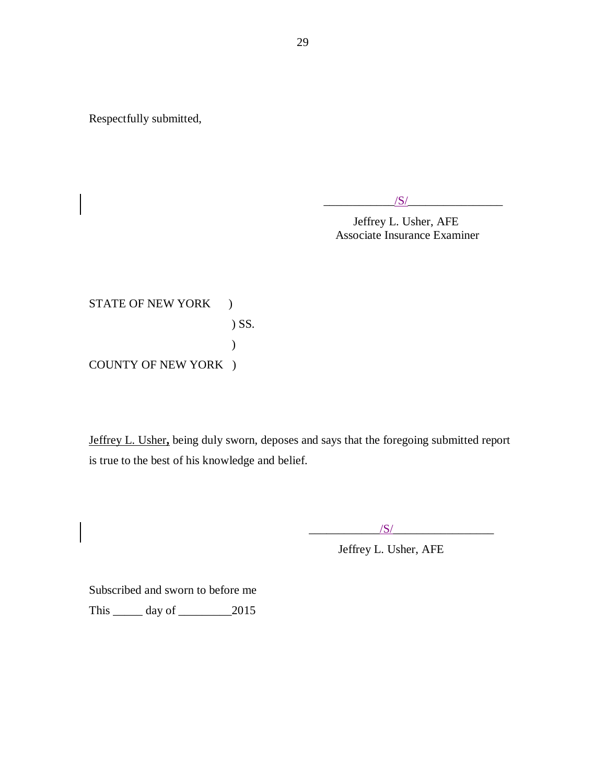Respectfully submitted,

 $/S/$ 

Jeffrey L. Usher, AFE Associate Insurance Examiner

STATE OF NEW YORK ) COUNTY OF NEW YORK ) ) SS. )

 Jeffrey L. Usher**,** being duly sworn, deposes and says that the foregoing submitted report is true to the best of his knowledge and belief.

 $\sqrt{S/}$ 

Jeffrey L. Usher, AFE

 Subscribed and sworn to before me This \_\_\_\_\_ day of \_\_\_\_\_\_\_\_\_2015